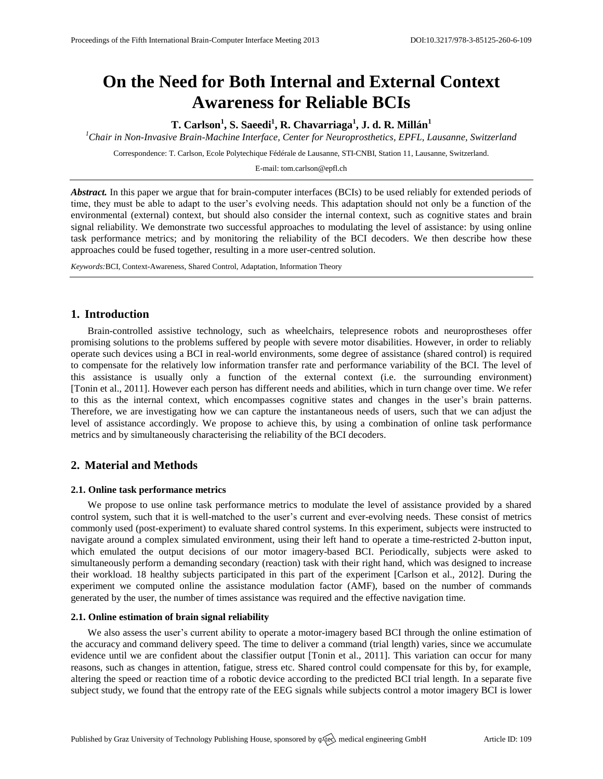# **On the Need for Both Internal and External Context Awareness for Reliable BCIs**

**T. Carlson<sup>1</sup> , S. Saeedi<sup>1</sup> , R. Chavarriaga<sup>1</sup> , J. d. R. Millán<sup>1</sup>**

*<sup>1</sup>Chair in Non-Invasive Brain-Machine Interface, Center for Neuroprosthetics, EPFL, Lausanne, Switzerland*

Correspondence: T. Carlson, Ecole Polytechique Fédérale de Lausanne, STI-CNBI, Station 11, Lausanne, Switzerland.

E-mail[: tom.carlson@epfl.ch](mailto:tom.carlson@epfl.ch)

*Abstract.* In this paper we argue that for brain-computer interfaces (BCIs) to be used reliably for extended periods of time, they must be able to adapt to the user's evolving needs. This adaptation should not only be a function of the environmental (external) context, but should also consider the internal context, such as cognitive states and brain signal reliability. We demonstrate two successful approaches to modulating the level of assistance: by using online task performance metrics; and by monitoring the reliability of the BCI decoders. We then describe how these approaches could be fused together, resulting in a more user-centred solution.

*Keywords:*BCI, Context-Awareness, Shared Control, Adaptation, Information Theory

# **1. Introduction**

Brain-controlled assistive technology, such as wheelchairs, telepresence robots and neuroprostheses offer promising solutions to the problems suffered by people with severe motor disabilities. However, in order to reliably operate such devices using a BCI in real-world environments, some degree of assistance (shared control) is required to compensate for the relatively low information transfer rate and performance variability of the BCI. The level of this assistance is usually only a function of the external context (i.e. the surrounding environment) [Tonin et al., 2011]. However each person has different needs and abilities, which in turn change over time. We refer to this as the internal context, which encompasses cognitive states and changes in the user's brain patterns. Therefore, we are investigating how we can capture the instantaneous needs of users, such that we can adjust the level of assistance accordingly. We propose to achieve this, by using a combination of online task performance metrics and by simultaneously characterising the reliability of the BCI decoders.

# **2. Material and Methods**

#### **2.1. Online task performance metrics**

We propose to use online task performance metrics to modulate the level of assistance provided by a shared control system, such that it is well-matched to the user's current and ever-evolving needs. These consist of metrics commonly used (post-experiment) to evaluate shared control systems. In this experiment, subjects were instructed to navigate around a complex simulated environment, using their left hand to operate a time-restricted 2-button input, which emulated the output decisions of our motor imagery-based BCI. Periodically, subjects were asked to simultaneously perform a demanding secondary (reaction) task with their right hand, which was designed to increase their workload. 18 healthy subjects participated in this part of the experiment [Carlson et al., 2012]. During the experiment we computed online the assistance modulation factor (AMF), based on the number of commands generated by the user, the number of times assistance was required and the effective navigation time.

### **2.1. Online estimation of brain signal reliability**

We also assess the user's current ability to operate a motor-imagery based BCI through the online estimation of the accuracy and command delivery speed. The time to deliver a command (trial length) varies, since we accumulate evidence until we are confident about the classifier output [Tonin et al., 2011]. This variation can occur for many reasons, such as changes in attention, fatigue, stress etc. Shared control could compensate for this by, for example, altering the speed or reaction time of a robotic device according to the predicted BCI trial length. In a separate five subject study, we found that the entropy rate of the EEG signals while subjects control a motor imagery BCI is lower